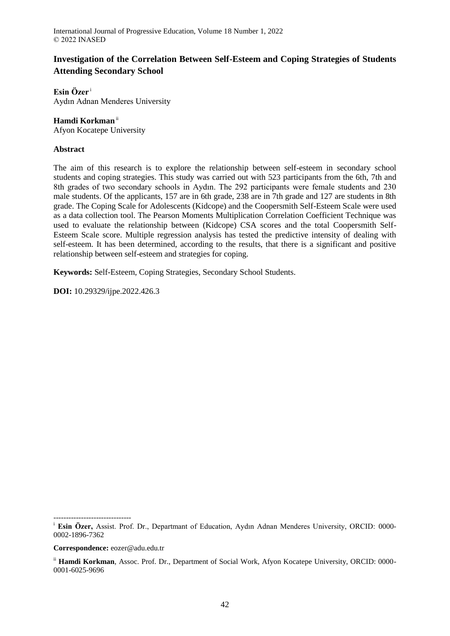# **Investigation of the Correlation Between Self-Esteem and Coping Strategies of Students Attending Secondary School**

**Esin Özer** <sup>i</sup> Aydın Adnan Menderes University

## **Hamdi Korkman**ii

Afyon Kocatepe University

## **Abstract**

The aim of this research is to explore the relationship between self-esteem in secondary school students and coping strategies. This study was carried out with 523 participants from the 6th, 7th and 8th grades of two secondary schools in Aydın. The 292 participants were female students and 230 male students. Of the applicants, 157 are in 6th grade, 238 are in 7th grade and 127 are students in 8th grade. The Coping Scale for Adolescents (Kidcope) and the Coopersmith Self-Esteem Scale were used as a data collection tool. The Pearson Moments Multiplication Correlation Coefficient Technique was used to evaluate the relationship between (Kidcope) CSA scores and the total Coopersmith Self-Esteem Scale score. Multiple regression analysis has tested the predictive intensity of dealing with self-esteem. It has been determined, according to the results, that there is a significant and positive relationship between self-esteem and strategies for coping.

**Keywords:** Self-Esteem, Coping Strategies, Secondary School Students.

**DOI:** 10.29329/ijpe.2022.426.3

-------------------------------

<sup>i</sup> **Esin Özer,** Assist. Prof. Dr., Departmant of Education, Aydın Adnan Menderes University, ORCID: 0000- 0002-1896-7362

**Correspondence:** eozer@adu.edu.tr

<sup>&</sup>lt;sup>ii</sup> Hamdi Korkman, Assoc. Prof. Dr., Department of Social Work, Afyon Kocatepe University, ORCID: 0000-0001-6025-9696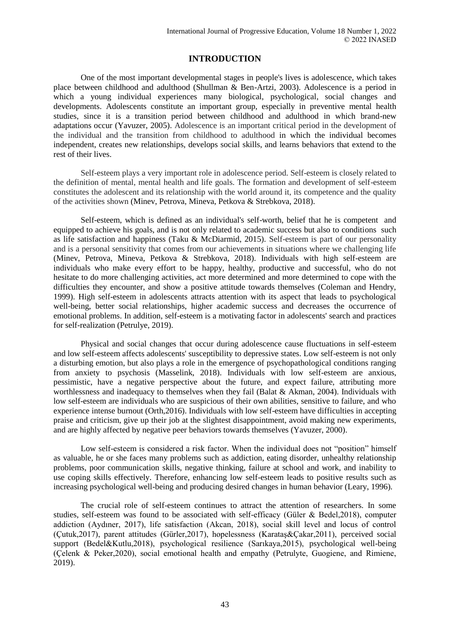## **INTRODUCTION**

One of the most important developmental stages in people's lives is adolescence, which takes place between childhood and adulthood (Shullman & Ben-Artzi, 2003). Adolescence is a period in which a young individual experiences many biological, psychological, social changes and developments. Adolescents constitute an important group, especially in preventive mental health studies, since it is a transition period between childhood and adulthood in which brand-new adaptations occur (Yavuzer, 2005). Adolescence is an important critical period in the development of the individual and the transition from childhood to adulthood in which the individual becomes independent, creates new relationships, develops social skills, and learns behaviors that extend to the rest of their lives.

Self-esteem plays a very important role in adolescence period. Self-esteem is closely related to the definition of mental, mental health and life goals. The formation and development of self-esteem constitutes the adolescent and its relationship with the world around it, its competence and the quality of the activities shown (Minev, Petrova, Mineva, Petkova & Strebkova, 2018).

Self-esteem, which is defined as an individual's self-worth, belief that he is competent and equipped to achieve his goals, and is not only related to academic success but also to conditions such as life satisfaction and happiness (Taku & McDiarmid, 2015). Self-esteem is part of our personality and is a personal sensitivity that comes from our achievements in situations where we challenging life (Minev, Petrova, Mineva, Petkova & Strebkova, 2018). Individuals with high self-esteem are individuals who make every effort to be happy, healthy, productive and successful, who do not hesitate to do more challenging activities, act more determined and more determined to cope with the difficulties they encounter, and show a positive attitude towards themselves (Coleman and Hendry, 1999). High self-esteem in adolescents attracts attention with its aspect that leads to psychological well-being, better social relationships, higher academic success and decreases the occurrence of emotional problems. In addition, self-esteem is a motivating factor in adolescents' search and practices for self-realization (Petrulye, 2019).

Physical and social changes that occur during adolescence cause fluctuations in self-esteem and low self-esteem affects adolescents' susceptibility to depressive states. Low self-esteem is not only a disturbing emotion, but also plays a role in the emergence of psychopathological conditions ranging from anxiety to psychosis (Masselink, 2018). Individuals with low self-esteem are anxious, pessimistic, have a negative perspective about the future, and expect failure, attributing more worthlessness and inadequacy to themselves when they fail (Balat & Akman, 2004). Individuals with low self-esteem are individuals who are suspicious of their own abilities, sensitive to failure, and who experience intense burnout (Orth,2016). Individuals with low self-esteem have difficulties in accepting praise and criticism, give up their job at the slightest disappointment, avoid making new experiments, and are highly affected by negative peer behaviors towards themselves (Yavuzer, 2000).

Low self-esteem is considered a risk factor. When the individual does not "position" himself as valuable, he or she faces many problems such as addiction, eating disorder, unhealthy relationship problems, poor communication skills, negative thinking, failure at school and work, and inability to use coping skills effectively. Therefore, enhancing low self-esteem leads to positive results such as increasing psychological well-being and producing desired changes in human behavior (Leary, 1996).

The crucial role of self-esteem continues to attract the attention of researchers. In some studies, self-esteem was found to be associated with self-efficacy (Güler & Bedel,2018), computer addiction (Aydıner, 2017), life satisfaction (Akcan, 2018), social skill level and locus of control (Çutuk,2017), parent attitudes (Gürler,2017), hopelessness (Karataş&Çakar,2011), perceived social support (Bedel&Kutlu,2018), psychological resilience (Sarıkaya,2015), psychological well-being (Çelenk & Peker,2020), social emotional health and empathy (Petrulyte, Guogiene, and Rimiene, 2019).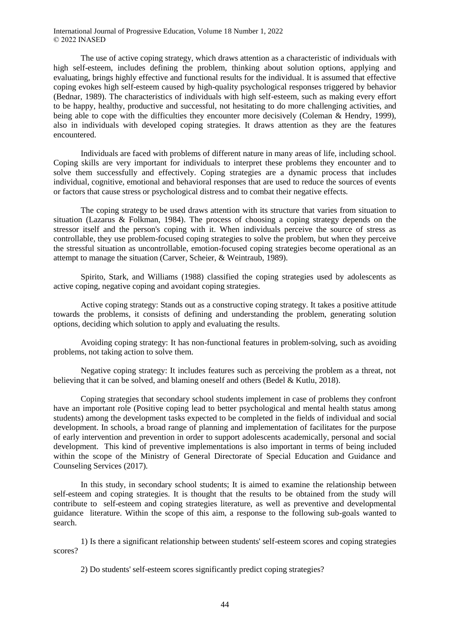The use of active coping strategy, which draws attention as a characteristic of individuals with high self-esteem, includes defining the problem, thinking about solution options, applying and evaluating, brings highly effective and functional results for the individual. It is assumed that effective coping evokes high self-esteem caused by high-quality psychological responses triggered by behavior (Bednar, 1989). The characteristics of individuals with high self-esteem, such as making every effort to be happy, healthy, productive and successful, not hesitating to do more challenging activities, and being able to cope with the difficulties they encounter more decisively (Coleman & Hendry, 1999), also in individuals with developed coping strategies. It draws attention as they are the features encountered.

Individuals are faced with problems of different nature in many areas of life, including school. Coping skills are very important for individuals to interpret these problems they encounter and to solve them successfully and effectively. Coping strategies are a dynamic process that includes individual, cognitive, emotional and behavioral responses that are used to reduce the sources of events or factors that cause stress or psychological distress and to combat their negative effects.

The coping strategy to be used draws attention with its structure that varies from situation to situation (Lazarus & Folkman, 1984). The process of choosing a coping strategy depends on the stressor itself and the person's coping with it. When individuals perceive the source of stress as controllable, they use problem-focused coping strategies to solve the problem, but when they perceive the stressful situation as uncontrollable, emotion-focused coping strategies become operational as an attempt to manage the situation (Carver, Scheier, & Weintraub, 1989).

Spirito, Stark, and Williams (1988) classified the coping strategies used by adolescents as active coping, negative coping and avoidant coping strategies.

Active coping strategy: Stands out as a constructive coping strategy. It takes a positive attitude towards the problems, it consists of defining and understanding the problem, generating solution options, deciding which solution to apply and evaluating the results.

Avoiding coping strategy: It has non-functional features in problem-solving, such as avoiding problems, not taking action to solve them.

Negative coping strategy: It includes features such as perceiving the problem as a threat, not believing that it can be solved, and blaming oneself and others (Bedel & Kutlu, 2018).

Coping strategies that secondary school students implement in case of problems they confront have an important role (Positive coping lead to better psychological and mental health status among students) among the development tasks expected to be completed in the fields of individual and social development. In schools, a broad range of planning and implementation of facilitates for the purpose of early intervention and prevention in order to support adolescents academically, personal and social development. This kind of preventive implementations is also important in terms of being included within the scope of the Ministry of General Directorate of Special Education and Guidance and Counseling Services (2017).

In this study, in secondary school students; It is aimed to examine the relationship between self-esteem and coping strategies. It is thought that the results to be obtained from the study will contribute to self-esteem and coping strategies literature, as well as preventive and developmental guidance literature. Within the scope of this aim, a response to the following sub-goals wanted to search.

1) Is there a significant relationship between students' self-esteem scores and coping strategies scores?

2) Do students' self-esteem scores significantly predict coping strategies?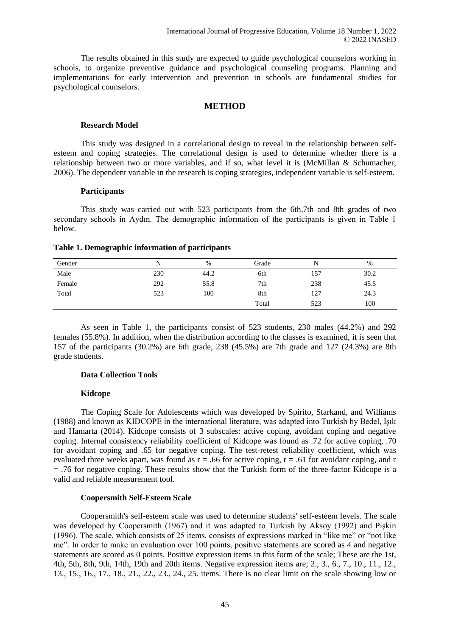The results obtained in this study are expected to guide psychological counselors working in schools, to organize preventive guidance and psychological counseling programs. Planning and implementations for early intervention and prevention in schools are fundamental studies for psychological counselors.

#### **METHOD**

#### **Research Model**

This study was designed in a correlational design to reveal in the relationship between selfesteem and coping strategies. The correlational design is used to determine whether there is a relationship between two or more variables, and if so, what level it is (McMillan & Schumacher, 2006). The dependent variable in the research is coping strategies, independent variable is self-esteem.

#### **Participants**

This study was carried out with 523 participants from the 6th,7th and 8th grades of two secondary schools in Aydın. The demographic information of the participants is given in Table 1 below.

#### **Table 1. Demographic information of participants**

| Gender |     | $\%$ | Grade | N   | $\%$ |
|--------|-----|------|-------|-----|------|
| Male   | 230 | 44.2 | 6th   | 157 | 30.2 |
| Female | 292 | 55.8 | 7th   | 238 | 45.5 |
| Total  | 523 | 100  | 8th   | 127 | 24.3 |
|        |     |      | Total | 523 | 100  |

As seen in Table 1, the participants consist of 523 students, 230 males (44.2%) and 292 females (55.8%). In addition, when the distribution according to the classes is examined, it is seen that 157 of the participants (30.2%) are 6th grade, 238 (45.5%) are 7th grade and 127 (24.3%) are 8th grade students.

## **Data Collection Tools**

## **Kidcope**

The Coping Scale for Adolescents which was developed by Spirito, Starkand, and Williams (1988) and known as KIDCOPE in the international literature, was adapted into Turkish by Bedel, Işık and Hamarta (2014). Kidcope consists of 3 subscales: active coping, avoidant coping and negative coping. Internal consistency reliability coefficient of Kidcope was found as .72 for active coping, .70 for avoidant coping and .65 for negative coping. The test-retest reliability coefficient, which was evaluated three weeks apart, was found as  $r = .66$  for active coping,  $r = .61$  for avoidant coping, and r = .76 for negative coping. These results show that the Turkish form of the three-factor Kidcope is a valid and reliable measurement tool.

## **Coopersmith Self-Esteem Scale**

Coopersmith's self-esteem scale was used to determine students' self-esteem levels. The scale was developed by Coopersmith (1967) and it was adapted to Turkish by Aksoy (1992) and Pişkin (1996). The scale, which consists of 25 items, consists of expressions marked in "like me" or "not like me". In order to make an evaluation over 100 points, positive statements are scored as 4 and negative statements are scored as 0 points. Positive expression items in this form of the scale; These are the 1st, 4th, 5th, 8th, 9th, 14th, 19th and 20th items. Negative expression items are; 2., 3., 6., 7., 10., 11., 12., 13., 15., 16., 17., 18., 21., 22., 23., 24., 25. items. There is no clear limit on the scale showing low or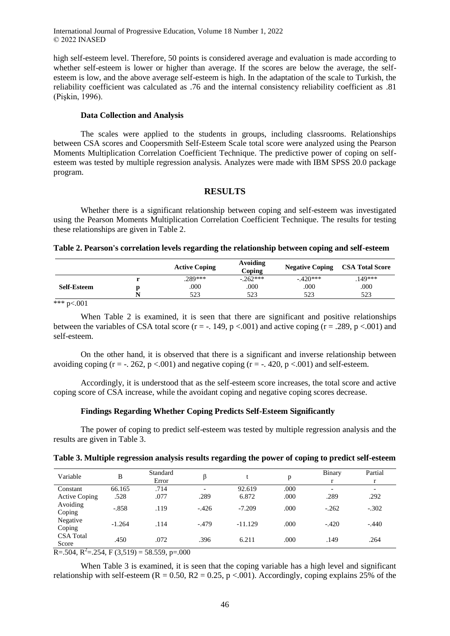high self-esteem level. Therefore, 50 points is considered average and evaluation is made according to whether self-esteem is lower or higher than average. If the scores are below the average, the selfesteem is low, and the above average self-esteem is high. In the adaptation of the scale to Turkish, the reliability coefficient was calculated as .76 and the internal consistency reliability coefficient as .81 (Pişkin, 1996).

#### **Data Collection and Analysis**

The scales were applied to the students in groups, including classrooms. Relationships between CSA scores and Coopersmith Self-Esteem Scale total score were analyzed using the Pearson Moments Multiplication Correlation Coefficient Technique. The predictive power of coping on selfesteem was tested by multiple regression analysis. Analyzes were made with IBM SPSS 20.0 package program.

#### **RESULTS**

Whether there is a significant relationship between coping and self-esteem was investigated using the Pearson Moments Multiplication Correlation Coefficient Technique. The results for testing these relationships are given in Table 2.

#### **Table 2. Pearson's correlation levels regarding the relationship between coping and self-esteem**

|                    |   | <b>Active Coping</b> | Avoiding<br>Coping | <b>Negative Coping</b> | <b>CSA Total Score</b> |
|--------------------|---|----------------------|--------------------|------------------------|------------------------|
|                    |   | .289***              | $-.262***$         | $-.420***$             | .149***                |
| <b>Self-Esteem</b> |   | .000                 | 000                | .000                   | .000                   |
|                    | N | 523                  | 523                | 523                    | 523                    |

\*\*\* p<.001

When Table 2 is examined, it is seen that there are significant and positive relationships between the variables of CSA total score ( $r = -1.149$ ,  $p < .001$ ) and active coping ( $r = .289$ ,  $p < .001$ ) and self-esteem.

On the other hand, it is observed that there is a significant and inverse relationship between avoiding coping ( $r = -1.262$ ,  $p < .001$ ) and negative coping ( $r = -1.420$ ,  $p < .001$ ) and self-esteem.

Accordingly, it is understood that as the self-esteem score increases, the total score and active coping score of CSA increase, while the avoidant coping and negative coping scores decrease.

#### **Findings Regarding Whether Coping Predicts Self-Esteem Significantly**

The power of coping to predict self-esteem was tested by multiple regression analysis and the results are given in Table 3.

|  |  |  |  | Table 3. Multiple regression analysis results regarding the power of coping to predict self-esteem |
|--|--|--|--|----------------------------------------------------------------------------------------------------|
|  |  |  |  |                                                                                                    |

| Variable                  | B        | Standard<br>Error |                          |           | p    | Binary                   | Partial<br>r             |
|---------------------------|----------|-------------------|--------------------------|-----------|------|--------------------------|--------------------------|
| Constant                  | 66.165   | .714              | $\overline{\phantom{0}}$ | 92.619    | .000 | $\overline{\phantom{0}}$ | $\overline{\phantom{a}}$ |
| <b>Active Coping</b>      | .528     | .077              | .289                     | 6.872     | .000 | .289                     | .292                     |
| Avoiding<br>Coping        | $-.858$  | .119              | $-.426$                  | $-7.209$  | .000 | $-.262$                  | $-.302$                  |
| Negative<br>Coping        | $-1.264$ | .114              | $-.479$                  | $-11.129$ | .000 | $-.420$                  | $-.440$                  |
| <b>CSA</b> Total<br>Score | .450     | .072              | .396                     | 6.211     | .000 | .149                     | .264                     |

 $R = 0.504$ ,  $R^2 = 0.254$ ,  $F(3,519) = 58.559$ ,  $p = 0.000$ 

When Table 3 is examined, it is seen that the coping variable has a high level and significant relationship with self-esteem ( $R = 0.50$ ,  $R2 = 0.25$ , p <.001). Accordingly, coping explains 25% of the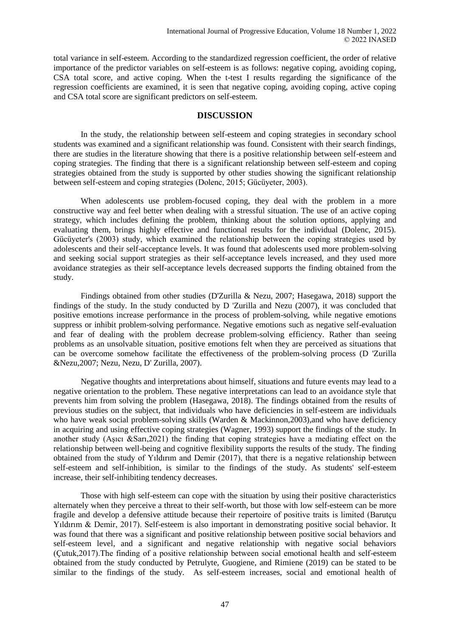total variance in self-esteem. According to the standardized regression coefficient, the order of relative importance of the predictor variables on self-esteem is as follows: negative coping, avoiding coping, CSA total score, and active coping. When the t-test I results regarding the significance of the regression coefficients are examined, it is seen that negative coping, avoiding coping, active coping and CSA total score are significant predictors on self-esteem.

## **DISCUSSION**

In the study, the relationship between self-esteem and coping strategies in secondary school students was examined and a significant relationship was found. Consistent with their search findings, there are studies in the literature showing that there is a positive relationship between self-esteem and coping strategies. The finding that there is a significant relationship between self-esteem and coping strategies obtained from the study is supported by other studies showing the significant relationship between self-esteem and coping strategies (Dolenc, 2015; Gücüyeter, 2003).

When adolescents use problem-focused coping, they deal with the problem in a more constructive way and feel better when dealing with a stressful situation. The use of an active coping strategy, which includes defining the problem, thinking about the solution options, applying and evaluating them, brings highly effective and functional results for the individual (Dolenc, 2015). Gücüyeter's (2003) study, which examined the relationship between the coping strategies used by adolescents and their self-acceptance levels. It was found that adolescents used more problem-solving and seeking social support strategies as their self-acceptance levels increased, and they used more avoidance strategies as their self-acceptance levels decreased supports the finding obtained from the study.

Findings obtained from other studies (D'Zurilla & Nezu, 2007; Hasegawa, 2018) support the findings of the study. In the study conducted by D 'Zurilla and Nezu (2007), it was concluded that positive emotions increase performance in the process of problem-solving, while negative emotions suppress or inhibit problem-solving performance. Negative emotions such as negative self-evaluation and fear of dealing with the problem decrease problem-solving efficiency. Rather than seeing problems as an unsolvable situation, positive emotions felt when they are perceived as situations that can be overcome somehow facilitate the effectiveness of the problem-solving process (D 'Zurilla &Nezu,2007; Nezu, Nezu, D' Zurilla, 2007).

Negative thoughts and interpretations about himself, situations and future events may lead to a negative orientation to the problem. These negative interpretations can lead to an avoidance style that prevents him from solving the problem (Hasegawa, 2018). The findings obtained from the results of previous studies on the subject, that individuals who have deficiencies in self-esteem are individuals who have weak social problem-solving skills (Warden & Mackinnon, 2003), and who have deficiency in acquiring and using effective coping strategies (Wagner, 1993) support the findings of the study. In another study (Aşıcı &Sarı,2021) the finding that coping strategies have a mediating effect on the relationship between well-being and cognitive flexibility supports the results of the study. The finding obtained from the study of Yıldırım and Demir (2017), that there is a negative relationship between self-esteem and self-inhibition, is similar to the findings of the study. As students' self-esteem increase, their self-inhibiting tendency decreases.

Those with high self-esteem can cope with the situation by using their positive characteristics alternately when they perceive a threat to their self-worth, but those with low self-esteem can be more fragile and develop a defensive attitude because their repertoire of positive traits is limited (Barutçu Yıldırım & Demir, 2017). Self-esteem is also important in demonstrating positive social behavior. It was found that there was a significant and positive relationship between positive social behaviors and self-esteem level, and a significant and negative relationship with negative social behaviors (Çutuk,2017).The finding of a positive relationship between social emotional health and self-esteem obtained from the study conducted by Petrulyte, Guogiene, and Rimiene (2019) can be stated to be similar to the findings of the study. As self-esteem increases, social and emotional health of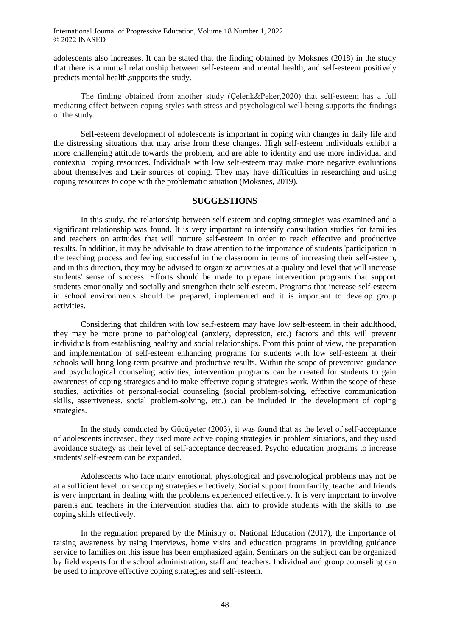adolescents also increases. It can be stated that the finding obtained by Moksnes (2018) in the study that there is a mutual relationship between self-esteem and mental health, and self-esteem positively predicts mental health,supports the study.

The finding obtained from another study (Çelenk&Peker,2020) that self-esteem has a full mediating effect between coping styles with stress and psychological well-being supports the findings of the study.

Self-esteem development of adolescents is important in coping with changes in daily life and the distressing situations that may arise from these changes. High self-esteem individuals exhibit a more challenging attitude towards the problem, and are able to identify and use more individual and contextual coping resources. Individuals with low self-esteem may make more negative evaluations about themselves and their sources of coping. They may have difficulties in researching and using coping resources to cope with the problematic situation (Moksnes, 2019).

## **SUGGESTIONS**

In this study, the relationship between self-esteem and coping strategies was examined and a significant relationship was found. It is very important to intensify consultation studies for families and teachers on attitudes that will nurture self-esteem in order to reach effective and productive results. In addition, it may be advisable to draw attention to the importance of students 'participation in the teaching process and feeling successful in the classroom in terms of increasing their self-esteem, and in this direction, they may be advised to organize activities at a quality and level that will increase students' sense of success. Efforts should be made to prepare intervention programs that support students emotionally and socially and strengthen their self-esteem. Programs that increase self-esteem in school environments should be prepared, implemented and it is important to develop group activities.

Considering that children with low self-esteem may have low self-esteem in their adulthood, they may be more prone to pathological (anxiety, depression, etc.) factors and this will prevent individuals from establishing healthy and social relationships. From this point of view, the preparation and implementation of self-esteem enhancing programs for students with low self-esteem at their schools will bring long-term positive and productive results. Within the scope of preventive guidance and psychological counseling activities, intervention programs can be created for students to gain awareness of coping strategies and to make effective coping strategies work. Within the scope of these studies, activities of personal-social counseling (social problem-solving, effective communication skills, assertiveness, social problem-solving, etc.) can be included in the development of coping strategies.

In the study conducted by Gücüyeter (2003), it was found that as the level of self-acceptance of adolescents increased, they used more active coping strategies in problem situations, and they used avoidance strategy as their level of self-acceptance decreased. Psycho education programs to increase students' self-esteem can be expanded.

Adolescents who face many emotional, physiological and psychological problems may not be at a sufficient level to use coping strategies effectively. Social support from family, teacher and friends is very important in dealing with the problems experienced effectively. It is very important to involve parents and teachers in the intervention studies that aim to provide students with the skills to use coping skills effectively.

In the regulation prepared by the Ministry of National Education (2017), the importance of raising awareness by using interviews, home visits and education programs in providing guidance service to families on this issue has been emphasized again. Seminars on the subject can be organized by field experts for the school administration, staff and teachers. Individual and group counseling can be used to improve effective coping strategies and self-esteem.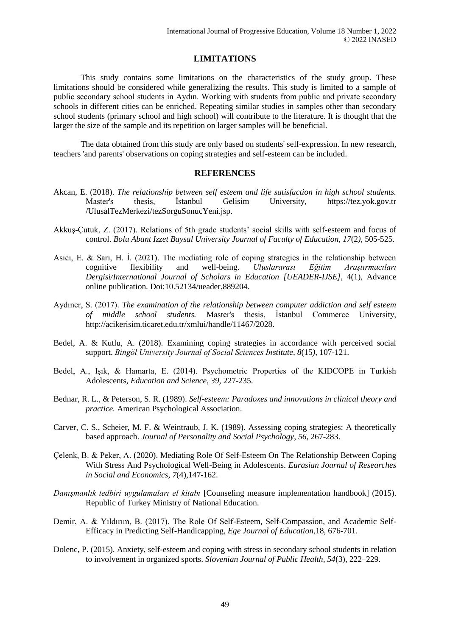## **LIMITATIONS**

This study contains some limitations on the characteristics of the study group. These limitations should be considered while generalizing the results. This study is limited to a sample of public secondary school students in Aydın. Working with students from public and private secondary schools in different cities can be enriched. Repeating similar studies in samples other than secondary school students (primary school and high school) will contribute to the literature. It is thought that the larger the size of the sample and its repetition on larger samples will be beneficial.

The data obtained from this study are only based on students' self-expression. In new research, teachers 'and parents' observations on coping strategies and self-esteem can be included.

## **REFERENCES**

- Akcan, E. (2018). *The relationship between self esteem and life satisfaction in high school students.*  Master's thesis, İstanbul Gelisim University, https://tez.yok.gov.tr /UlusalTezMerkezi/tezSorguSonucYeni.jsp.
- Akkuş-Çutuk, Z. (2017). Relations of 5th grade students' social skills with self-esteem and focus of control. *Bolu Abant Izzet Baysal University Journal of Faculty of Education, 17*(2*),* 505-525.
- Asıcı, E. & Sarı, H. İ. (2021). The mediating role of coping strategies in the relationship between cognitive flexibility and well-being. *Uluslararası Eğitim Araştırmacıları Dergisi/International Journal of Scholars in Education [UEADER-IJSE]*, 4(1), Advance online publication. Doi:10.52134/ueader.889204.
- Aydıner, S. (2017). *The examination of the relationship between computer addiction and self esteem of middle school students.* Master's thesis, İstanbul Commerce University, http://acikerisim.ticaret.edu.tr/xmlui/handle/11467/2028.
- Bedel, A. & Kutlu, A. (2018). Examining coping strategies in accordance with perceived social support. *Bingöl University Journal of Social Sciences Institute, 8*(15*),* 107-121.
- Bedel, A., Işık, & Hamarta, E. (2014). Psychometric Properties of the KIDCOPE in Turkish Adolescents, *Education and Science, 39,* 227-235.
- Bednar, R. L., & Peterson, S. R. (1989). *Self-esteem: Paradoxes and innovations in clinical theory and practice.* American Psychological Association.
- Carver, C. S., Scheier, M. F. & Weintraub, J. K. (1989). Assessing coping strategies: A theoretically based approach. *Journal of Personality and Social Psychology*, *56,* 267-283.
- Çelenk, B. & Peker, A. (2020). Mediating Role Of Self-Esteem On The Relationship Between Coping With Stress And Psychological Well-Being in Adolescents. *Eurasian Journal of Researches in Social and Economics*, *7*(4),147-162.
- *Danışmanlık tedbiri uygulamaları el kitabı* [Counseling measure implementation handbook] (2015). Republic of Turkey Ministry of National Education.
- Demir, A. & Yıldırım, B. (2017). The Role Of Self-Esteem, Self-Compassion, and Academic Self-Efficacy in Predicting Self-Handicapping, *Ege Journal of Education*,18, 676-701.
- Dolenc, P. (2015). Anxiety, self-esteem and coping with stress in secondary school students in relation to involvement in organized sports. *Slovenian Journal of Public Health, 54*(3), 222–229.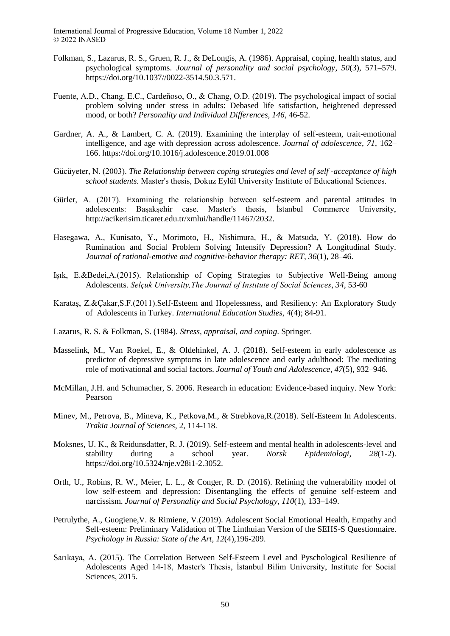- Folkman, S., Lazarus, R. S., Gruen, R. J., & DeLongis, A. (1986). Appraisal, coping, health status, and psychological symptoms. *Journal of personality and social psychology*, *50*(3), 571–579. https://doi.org/10.1037//0022-3514.50.3.571.
- Fuente, A.D., Chang, E.C., Cardeñoso, O., & Chang, O.D. (2019). The psychological impact of social problem solving under stress in adults: Debased life satisfaction, heightened depressed mood, or both? *Personality and Individual Differences, 146*, 46-52.
- Gardner, A. A., & Lambert, C. A. (2019). Examining the interplay of self-esteem, trait-emotional intelligence, and age with depression across adolescence. *Journal of adolescence*, *71*, 162– 166. https://doi.org/10.1016/j.adolescence.2019.01.008
- Gücüyeter, N. (2003). *The Relationship between coping strategies and level of self -acceptance of high school students.* Master's thesis, Dokuz Eylül University Institute of Educational Sciences.
- Gürler, A. (2017). Examining the relationship between self-esteem and parental attitudes in adolescents: Başakşehir case. Master's thesis, İstanbul Commerce University, http://acikerisim.ticaret.edu.tr/xmlui/handle/11467/2032.
- Hasegawa, A., Kunisato, Y., Morimoto, H., Nishimura, H., & Matsuda, Y. (2018). How do Rumination and Social Problem Solving Intensify Depression? A Longitudinal Study. *Journal of rational-emotive and cognitive-behavior therapy: RET*, *36*(1), 28–46.
- Işık, E.&Bedei,A.(2015). Relationship of Coping Strategies to Subjective Well-Being among Adolescents. *Selçuk University,The Journal of Instıtute of Social Sciences*, *34*, 53-60
- Karataş, Z.&Çakar,S.F.(2011).Self-Esteem and Hopelessness, and Resiliency: An Exploratory Study of Adolescents in Turkey. *International Education Studies*, *4*(4); 84-91.
- Lazarus, R. S. & Folkman, S. (1984). *Stress, appraisal, and coping*. Springer.
- Masselink, M., Van Roekel, E., & Oldehinkel, A. J. (2018). Self-esteem in early adolescence as predictor of depressive symptoms in late adolescence and early adulthood: The mediating role of motivational and social factors. *Journal of Youth and Adolescence*, *47*(5), 932–946.
- McMillan, J.H. and Schumacher, S. 2006. Research in education: Evidence-based inquiry. New York: Pearson
- Minev, M., Petrova, B., Mineva, K., Petkova,M., & Strebkova,R.(2018). Self-Esteem In Adolescents. *Trakia Journal of Sciences*, 2, 114-118.
- Moksnes, U. K., & Reidunsdatter, R. J. (2019). Self-esteem and mental health in adolescents-level and stability during a school year. *Norsk Epidemiologi*, *28*(1-2). https://doi.org/10.5324/nje.v28i1-2.3052.
- Orth, U., Robins, R. W., Meier, L. L., & Conger, R. D. (2016). Refining the vulnerability model of low self-esteem and depression: Disentangling the effects of genuine self-esteem and narcissism. *Journal of Personality and Social Psychology, 110*(1), 133–149.
- Petrulythe, A., Guogiene,V. & Rimiene, V.(2019). Adolescent Social Emotional Health, Empathy and Self-esteem: Preliminary Validation of The Linthuian Version of the SEHS-S Questionnaire. *Psychology in Russia: State of the Art*, *12*(4),196-209.
- Sarıkaya, A. (2015). The Correlation Between Self-Esteem Level and Pyschological Resilience of Adolescents Aged 14-18, Master's Thesis, İstanbul Bilim University, Institute for Social Sciences, 2015.